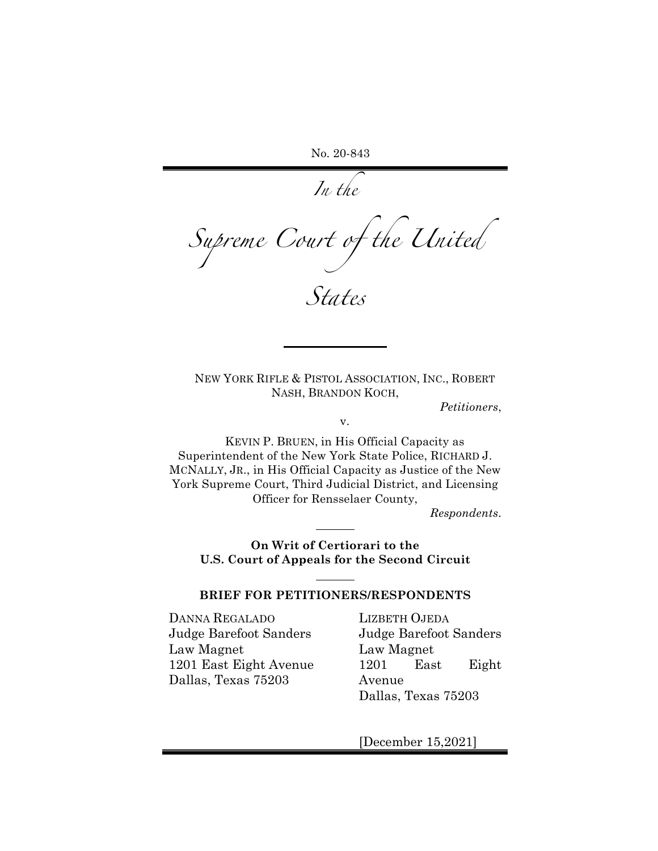No. 20-843

*In the* 

*Supreme Court of the United* 

*States*

NEW YORK RIFLE & PISTOL ASSOCIATION, INC., ROBERT NASH, BRANDON KOCH,

*Petitioners*,

v.

KEVIN P. BRUEN, in His Official Capacity as Superintendent of the New York State Police, RICHARD J. MCNALLY, JR., in His Official Capacity as Justice of the New York Supreme Court, Third Judicial District, and Licensing Officer for Rensselaer County,

*Respondents*.

**On Writ of Certiorari to the U.S. Court of Appeals for the Second Circuit**

#### **BRIEF FOR PETITIONERS/RESPONDENTS**

DANNA REGALADO Judge Barefoot Sanders Law Magnet 1201 East Eight Avenue Dallas, Texas 75203

LIZBETH OJEDA Judge Barefoot Sanders Law Magnet 1201 East Eight Avenue Dallas, Texas 75203

[December 15,2021]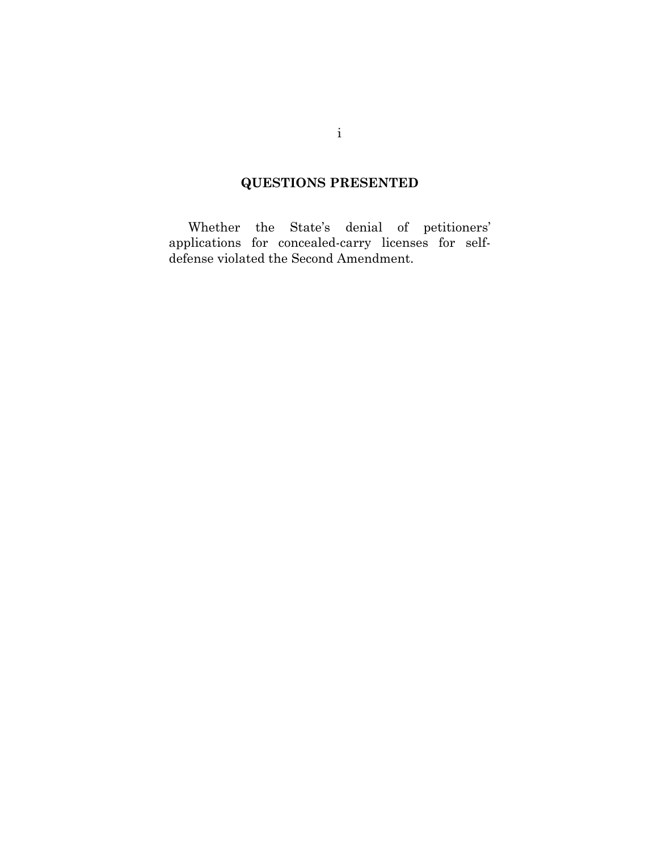# **QUESTIONS PRESENTED**

Whether the State's denial of petitioners' applications for concealed-carry licenses for selfdefense violated the Second Amendment.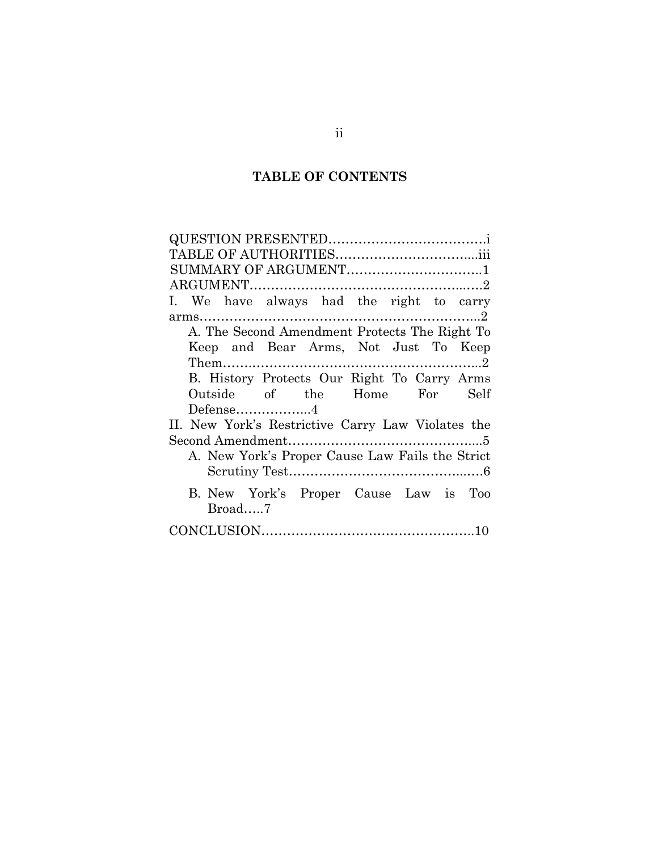# **TABLE OF CONTENTS**

| SUMMARY OF ARGUMENT1                              |
|---------------------------------------------------|
|                                                   |
| I. We have always had the right to carry          |
|                                                   |
| A. The Second Amendment Protects The Right To     |
| Keep and Bear Arms, Not Just To Keep              |
|                                                   |
| B. History Protects Our Right To Carry Arms       |
| Outside of the Home For Self                      |
|                                                   |
| II. New York's Restrictive Carry Law Violates the |
|                                                   |
| A. New York's Proper Cause Law Fails the Strict   |
|                                                   |
|                                                   |
| B. New York's Proper Cause Law is Too             |
| Broad7                                            |
|                                                   |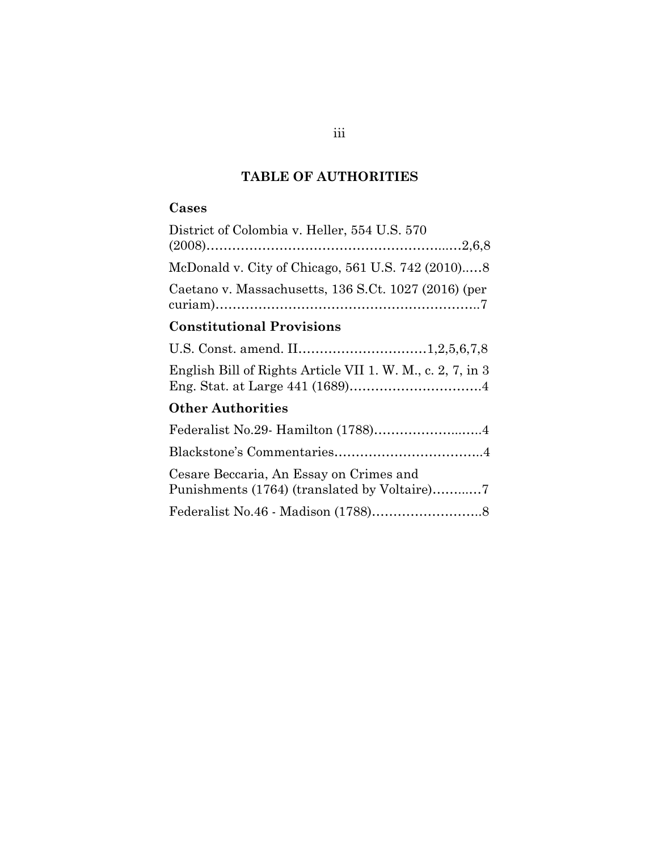# **TABLE OF AUTHORITIES**

# **Cases**

| District of Colombia v. Heller, 554 U.S. 570               |
|------------------------------------------------------------|
|                                                            |
| Caetano v. Massachusetts, 136 S.Ct. 1027 (2016) (per       |
| <b>Constitutional Provisions</b>                           |
|                                                            |
| English Bill of Rights Article VII 1. W. M., c. 2, 7, in 3 |

# **Other Authorities**

| Federalist No.29- Hamilton (1788)4      |  |
|-----------------------------------------|--|
|                                         |  |
| Cesare Beccaria, An Essay on Crimes and |  |
|                                         |  |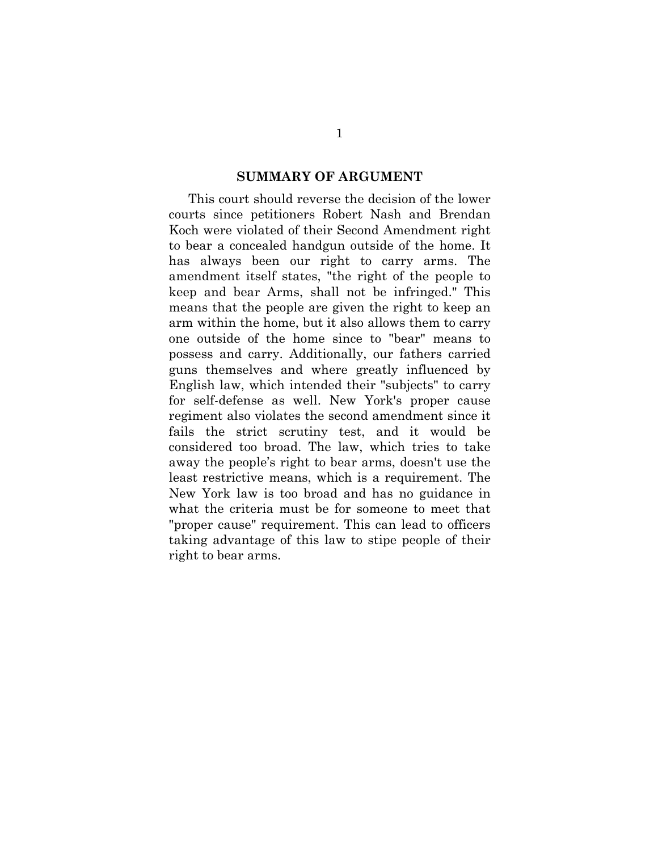#### **SUMMARY OF ARGUMENT**

This court should reverse the decision of the lower courts since petitioners Robert Nash and Brendan Koch were violated of their Second Amendment right to bear a concealed handgun outside of the home. It has always been our right to carry arms. The amendment itself states, "the right of the people to keep and bear Arms, shall not be infringed." This means that the people are given the right to keep an arm within the home, but it also allows them to carry one outside of the home since to "bear" means to possess and carry. Additionally, our fathers carried guns themselves and where greatly influenced by English law, which intended their "subjects" to carry for self-defense as well. New York's proper cause regiment also violates the second amendment since it fails the strict scrutiny test, and it would be considered too broad. The law, which tries to take away the people's right to bear arms, doesn't use the least restrictive means, which is a requirement. The New York law is too broad and has no guidance in what the criteria must be for someone to meet that "proper cause" requirement. This can lead to officers taking advantage of this law to stipe people of their right to bear arms.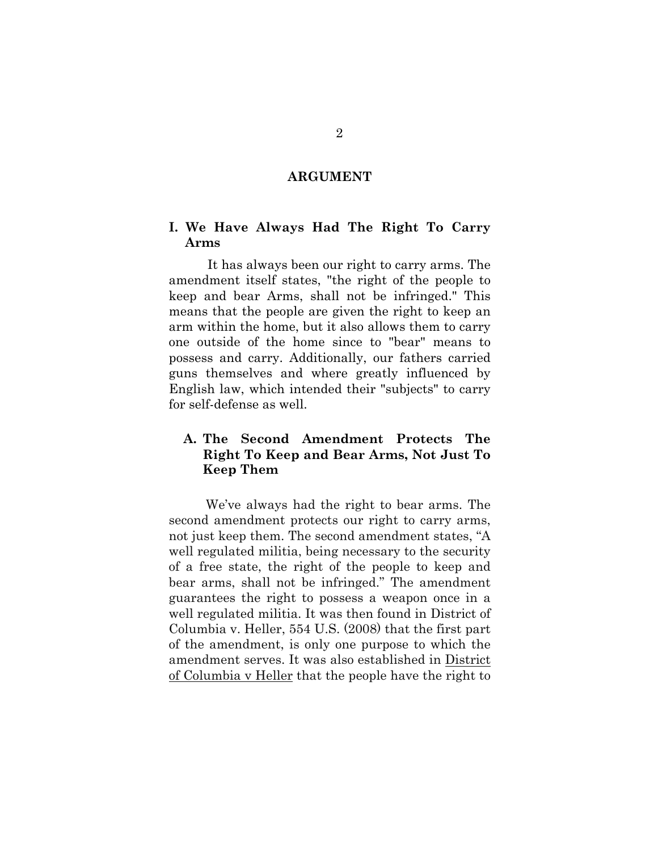#### **ARGUMENT**

## **I. We Have Always Had The Right To Carry Arms**

It has always been our right to carry arms. The amendment itself states, "the right of the people to keep and bear Arms, shall not be infringed." This means that the people are given the right to keep an arm within the home, but it also allows them to carry one outside of the home since to "bear" means to possess and carry. Additionally, our fathers carried guns themselves and where greatly influenced by English law, which intended their "subjects" to carry for self-defense as well.

# **A. The Second Amendment Protects The Right To Keep and Bear Arms, Not Just To Keep Them**

We've always had the right to bear arms. The second amendment protects our right to carry arms, not just keep them. The second amendment states, "A well regulated militia, being necessary to the security of a free state, the right of the people to keep and bear arms, shall not be infringed." The amendment guarantees the right to possess a weapon once in a well regulated militia. It was then found in District of Columbia v. Heller, 554 U.S. (2008) that the first part of the amendment, is only one purpose to which the amendment serves. It was also established in District of Columbia v Heller that the people have the right to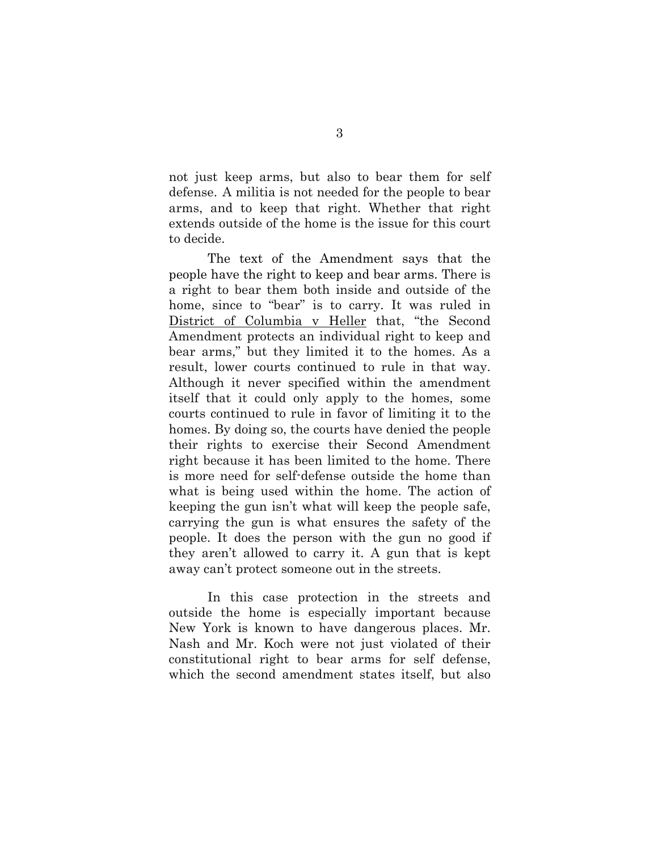not just keep arms, but also to bear them for self defense. A militia is not needed for the people to bear arms, and to keep that right. Whether that right extends outside of the home is the issue for this court to decide.

The text of the Amendment says that the people have the right to keep and bear arms. There is a right to bear them both inside and outside of the home, since to "bear" is to carry. It was ruled in District of Columbia v Heller that, "the Second Amendment protects an individual right to keep and bear arms," but they limited it to the homes. As a result, lower courts continued to rule in that way. Although it never specified within the amendment itself that it could only apply to the homes, some courts continued to rule in favor of limiting it to the homes. By doing so, the courts have denied the people their rights to exercise their Second Amendment right because it has been limited to the home. There is more need for self-defense outside the home than what is being used within the home. The action of keeping the gun isn't what will keep the people safe, carrying the gun is what ensures the safety of the people. It does the person with the gun no good if they aren't allowed to carry it. A gun that is kept away can't protect someone out in the streets.

In this case protection in the streets and outside the home is especially important because New York is known to have dangerous places. Mr. Nash and Mr. Koch were not just violated of their constitutional right to bear arms for self defense, which the second amendment states itself, but also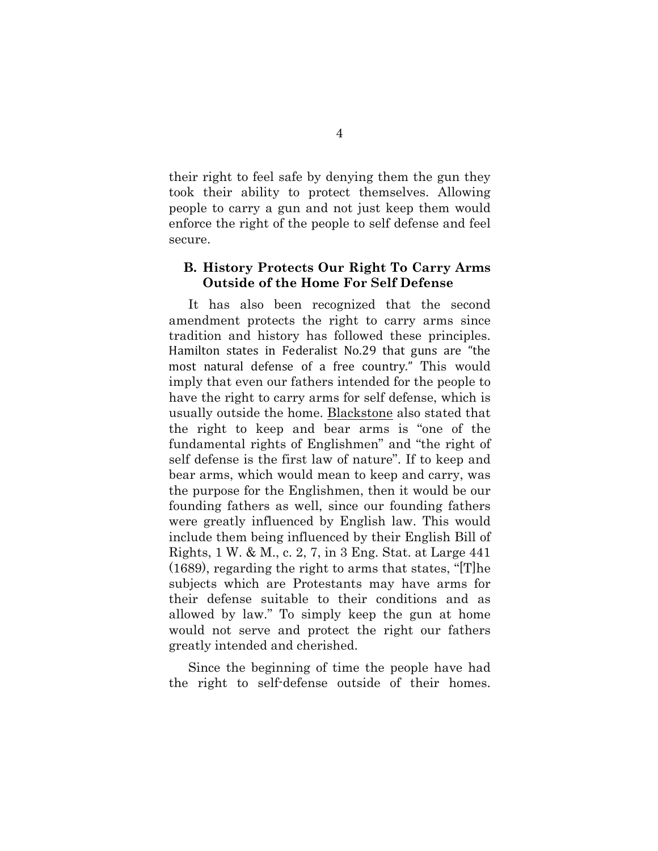their right to feel safe by denying them the gun they took their ability to protect themselves. Allowing people to carry a gun and not just keep them would enforce the right of the people to self defense and feel secure.

### **B. History Protects Our Right To Carry Arms Outside of the Home For Self Defense**

It has also been recognized that the second amendment protects the right to carry arms since tradition and history has followed these principles. Hamilton states in Federalist No.29 that guns are "the most natural defense of a free country." This would imply that even our fathers intended for the people to have the right to carry arms for self defense, which is usually outside the home. Blackstone also stated that the right to keep and bear arms is "one of the fundamental rights of Englishmen" and "the right of self defense is the first law of nature". If to keep and bear arms, which would mean to keep and carry, was the purpose for the Englishmen, then it would be our founding fathers as well, since our founding fathers were greatly influenced by English law. This would include them being influenced by their English Bill of Rights, 1 W. & M., c. 2, 7, in 3 Eng. Stat. at Large 441 (1689), regarding the right to arms that states, "[T]he subjects which are Protestants may have arms for their defense suitable to their conditions and as allowed by law." To simply keep the gun at home would not serve and protect the right our fathers greatly intended and cherished.

Since the beginning of time the people have had the right to self-defense outside of their homes.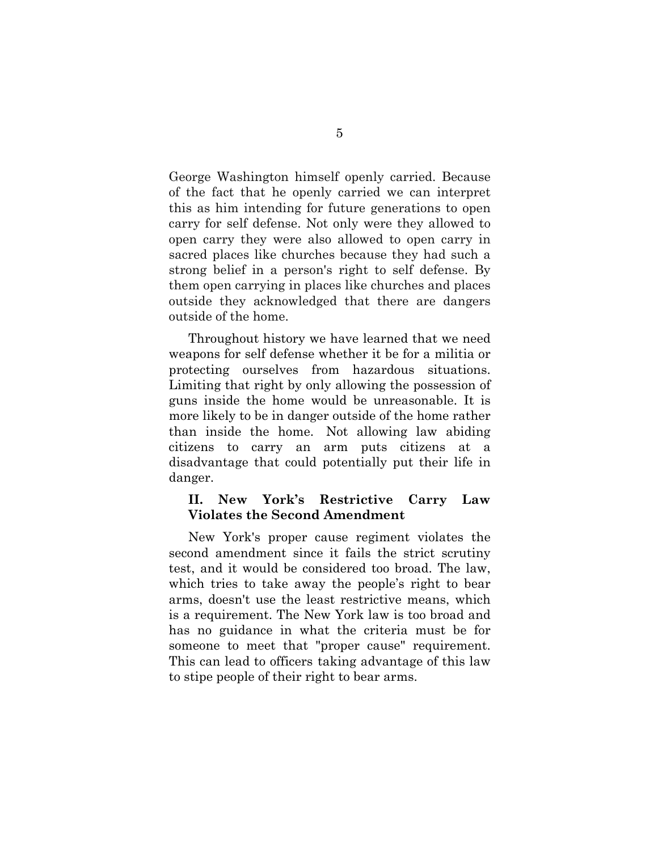George Washington himself openly carried. Because of the fact that he openly carried we can interpret this as him intending for future generations to open carry for self defense. Not only were they allowed to open carry they were also allowed to open carry in sacred places like churches because they had such a strong belief in a person's right to self defense. By them open carrying in places like churches and places outside they acknowledged that there are dangers outside of the home.

Throughout history we have learned that we need weapons for self defense whether it be for a militia or protecting ourselves from hazardous situations. Limiting that right by only allowing the possession of guns inside the home would be unreasonable. It is more likely to be in danger outside of the home rather than inside the home. Not allowing law abiding citizens to carry an arm puts citizens at a disadvantage that could potentially put their life in danger.

### **II. New York's Restrictive Carry Law Violates the Second Amendment**

New York's proper cause regiment violates the second amendment since it fails the strict scrutiny test, and it would be considered too broad. The law, which tries to take away the people's right to bear arms, doesn't use the least restrictive means, which is a requirement. The New York law is too broad and has no guidance in what the criteria must be for someone to meet that "proper cause" requirement. This can lead to officers taking advantage of this law to stipe people of their right to bear arms.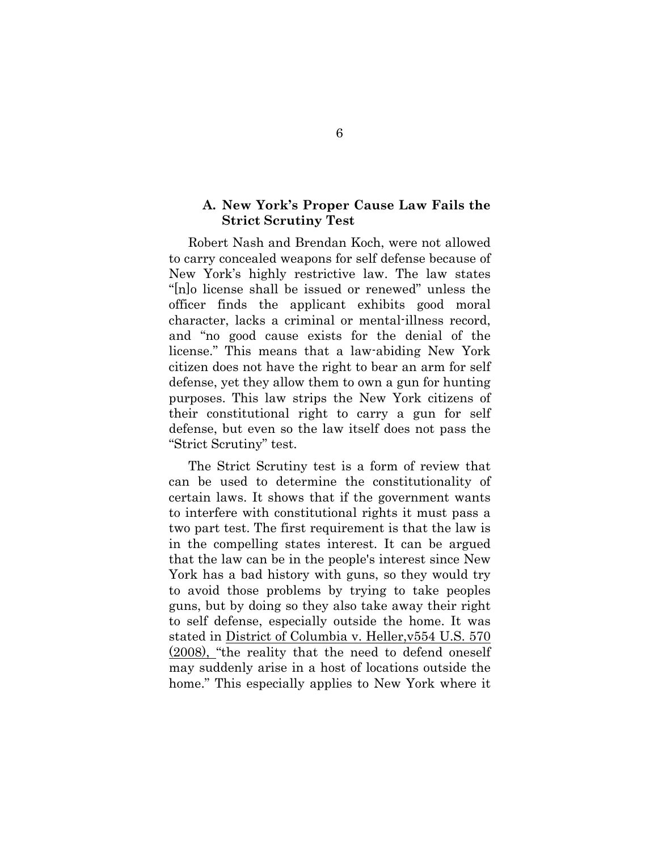### **A. New York's Proper Cause Law Fails the Strict Scrutiny Test**

Robert Nash and Brendan Koch, were not allowed to carry concealed weapons for self defense because of New York's highly restrictive law. The law states "[n]o license shall be issued or renewed" unless the officer finds the applicant exhibits good moral character, lacks a criminal or mental-illness record, and "no good cause exists for the denial of the license." This means that a law-abiding New York citizen does not have the right to bear an arm for self defense, yet they allow them to own a gun for hunting purposes. This law strips the New York citizens of their constitutional right to carry a gun for self defense, but even so the law itself does not pass the "Strict Scrutiny" test.

The Strict Scrutiny test is a form of review that can be used to determine the constitutionality of certain laws. It shows that if the government wants to interfere with constitutional rights it must pass a two part test. The first requirement is that the law is in the compelling states interest. It can be argued that the law can be in the people's interest since New York has a bad history with guns, so they would try to avoid those problems by trying to take peoples guns, but by doing so they also take away their right to self defense, especially outside the home. It was stated in District of Columbia v. Heller,v554 U.S. 570 (2008), "the reality that the need to defend oneself may suddenly arise in a host of locations outside the home." This especially applies to New York where it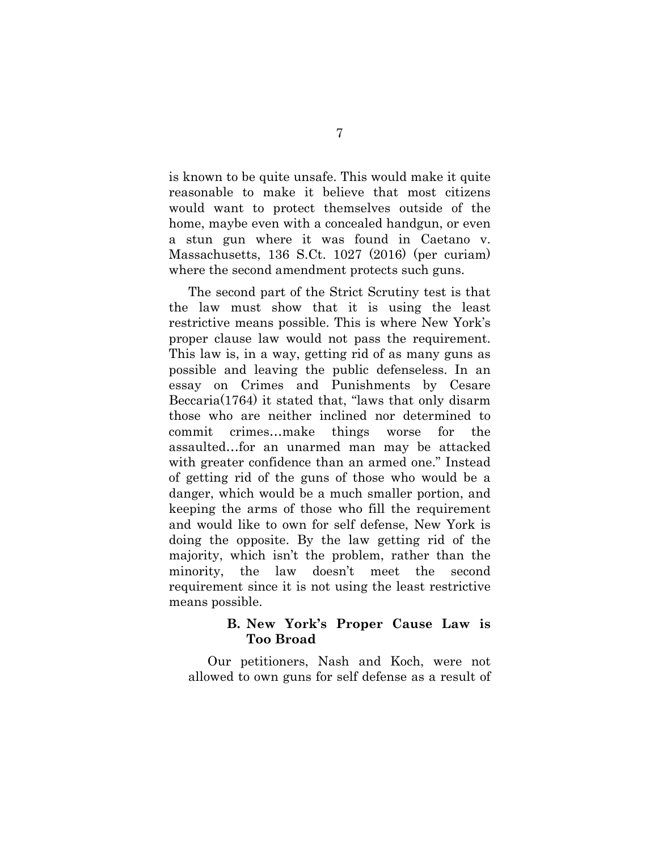is known to be quite unsafe. This would make it quite reasonable to make it believe that most citizens would want to protect themselves outside of the home, maybe even with a concealed handgun, or even a stun gun where it was found in Caetano v. Massachusetts, 136 S.Ct. 1027 (2016) (per curiam) where the second amendment protects such guns.

The second part of the Strict Scrutiny test is that the law must show that it is using the least restrictive means possible. This is where New York's proper clause law would not pass the requirement. This law is, in a way, getting rid of as many guns as possible and leaving the public defenseless. In an essay on Crimes and Punishments by Cesare Beccaria(1764) it stated that, "laws that only disarm those who are neither inclined nor determined to commit crimes…make things worse for the assaulted…for an unarmed man may be attacked with greater confidence than an armed one." Instead of getting rid of the guns of those who would be a danger, which would be a much smaller portion, and keeping the arms of those who fill the requirement and would like to own for self defense, New York is doing the opposite. By the law getting rid of the majority, which isn't the problem, rather than the minority, the law doesn't meet the second requirement since it is not using the least restrictive means possible.

## **B. New York's Proper Cause Law is Too Broad**

Our petitioners, Nash and Koch, were not allowed to own guns for self defense as a result of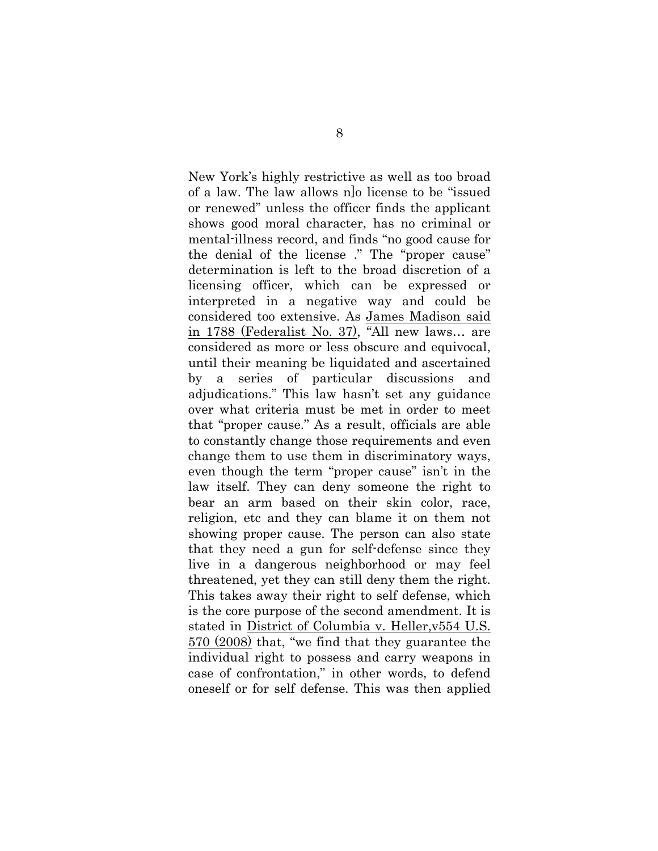New York's highly restrictive as well as too broad of a law. The law allows n]o license to be "issued or renewed" unless the officer finds the applicant shows good moral character, has no criminal or mental-illness record, and finds "no good cause for the denial of the license ." The "proper cause" determination is left to the broad discretion of a licensing officer, which can be expressed or interpreted in a negative way and could be considered too extensive. As James Madison said in 1788 (Federalist No. 37), "All new laws… are considered as more or less obscure and equivocal, until their meaning be liquidated and ascertained by a series of particular discussions and adjudications." This law hasn't set any guidance over what criteria must be met in order to meet that "proper cause." As a result, officials are able to constantly change those requirements and even change them to use them in discriminatory ways, even though the term "proper cause" isn't in the law itself. They can deny someone the right to bear an arm based on their skin color, race, religion, etc and they can blame it on them not showing proper cause. The person can also state that they need a gun for self-defense since they live in a dangerous neighborhood or may feel threatened, yet they can still deny them the right. This takes away their right to self defense, which is the core purpose of the second amendment. It is stated in District of Columbia v. Heller,v554 U.S. 570 (2008) that, "we find that they guarantee the individual right to possess and carry weapons in case of confrontation," in other words, to defend oneself or for self defense. This was then applied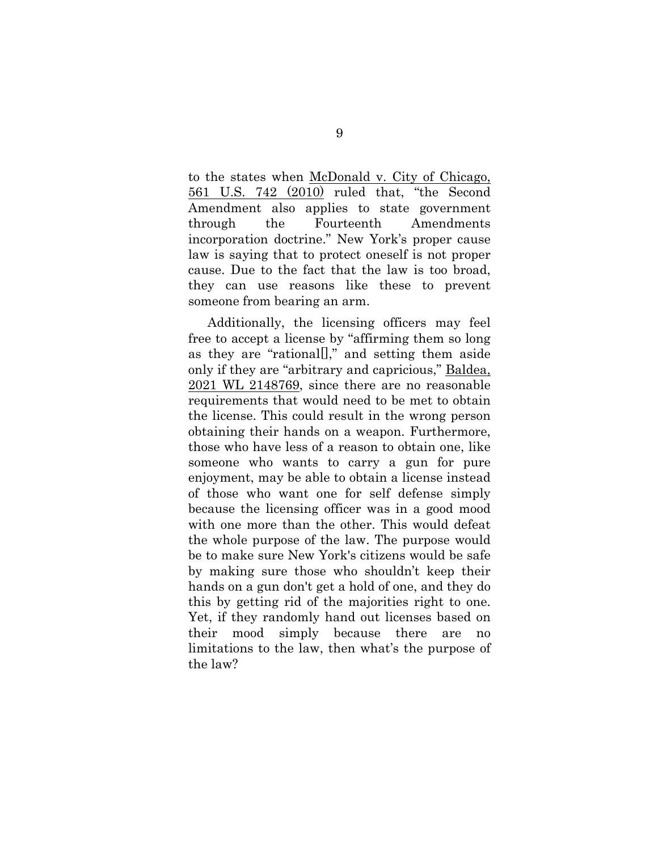to the states when McDonald v. City of Chicago, 561 U.S. 742 (2010) ruled that, "the Second Amendment also applies to state government through the Fourteenth Amendments incorporation doctrine." New York's proper cause law is saying that to protect oneself is not proper cause. Due to the fact that the law is too broad, they can use reasons like these to prevent someone from bearing an arm.

Additionally, the licensing officers may feel free to accept a license by "affirming them so long as they are "rational[]," and setting them aside only if they are "arbitrary and capricious," Baldea, 2021 WL 2148769, since there are no reasonable requirements that would need to be met to obtain the license. This could result in the wrong person obtaining their hands on a weapon. Furthermore, those who have less of a reason to obtain one, like someone who wants to carry a gun for pure enjoyment, may be able to obtain a license instead of those who want one for self defense simply because the licensing officer was in a good mood with one more than the other. This would defeat the whole purpose of the law. The purpose would be to make sure New York's citizens would be safe by making sure those who shouldn't keep their hands on a gun don't get a hold of one, and they do this by getting rid of the majorities right to one. Yet, if they randomly hand out licenses based on their mood simply because there are no limitations to the law, then what's the purpose of the law?